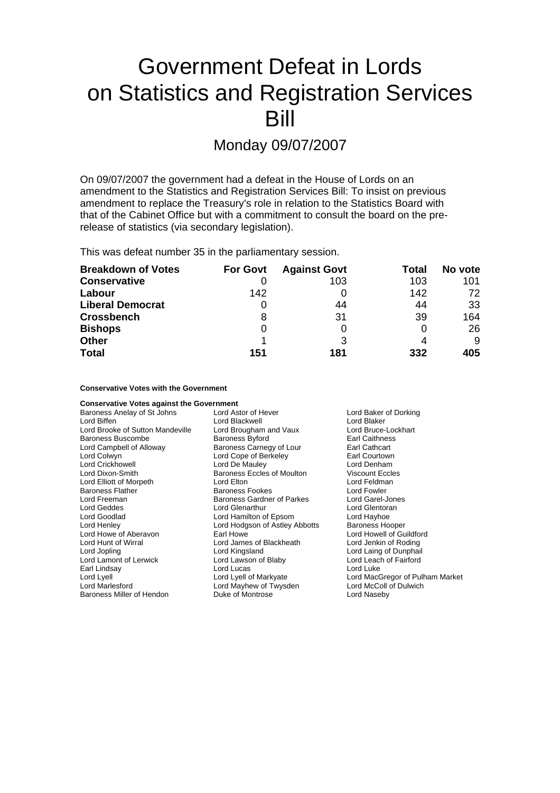# Government Defeat in Lords on Statistics and Registration Services Bill

# Monday 09/07/2007

On 09/07/2007 the government had a defeat in the House of Lords on an amendment to the Statistics and Registration Services Bill: To insist on previous amendment to replace the Treasury's role in relation to the Statistics Board with that of the Cabinet Office but with a commitment to consult the board on the prerelease of statistics (via secondary legislation).

This was defeat number 35 in the parliamentary session.

| <b>Breakdown of Votes</b> | <b>For Govt</b> | <b>Against Govt</b> | Total | No vote |
|---------------------------|-----------------|---------------------|-------|---------|
| <b>Conservative</b>       |                 | 103                 | 103   | 101     |
| Labour                    | 142             |                     | 142   | 72.     |
| <b>Liberal Democrat</b>   | 0               | 44                  | 44    | 33      |
| <b>Crossbench</b>         | 8               | 31                  | 39    | 164     |
| <b>Bishops</b>            | 0               |                     |       | 26      |
| <b>Other</b>              |                 |                     |       | 9       |
| <b>Total</b>              | 151             | 181                 | 332   | 405     |

#### **Conservative Votes with the Government**

| <b>Conservative Votes against the Government</b> |                                |                                 |  |
|--------------------------------------------------|--------------------------------|---------------------------------|--|
| Baroness Anelay of St Johns                      | Lord Astor of Hever            | Lord Baker of Dorking           |  |
| Lord Biffen                                      | Lord Blackwell                 | Lord Blaker                     |  |
| Lord Brooke of Sutton Mandeville                 | Lord Brougham and Vaux         | Lord Bruce-Lockhart             |  |
| <b>Baroness Buscombe</b>                         | <b>Baroness Byford</b>         | <b>Earl Caithness</b>           |  |
| Lord Campbell of Alloway                         | Baroness Carnegy of Lour       | Earl Cathcart                   |  |
| Lord Colwyn                                      | Lord Cope of Berkeley          | Earl Courtown                   |  |
| Lord Crickhowell                                 | Lord De Mauley                 | Lord Denham                     |  |
| Lord Dixon-Smith                                 | Baroness Eccles of Moulton     | <b>Viscount Eccles</b>          |  |
| Lord Elliott of Morpeth                          | Lord Elton                     | Lord Feldman                    |  |
| <b>Baroness Flather</b>                          | <b>Baroness Fookes</b>         | Lord Fowler                     |  |
| Lord Freeman                                     | Baroness Gardner of Parkes     | Lord Garel-Jones                |  |
| Lord Geddes                                      | Lord Glenarthur                | Lord Glentoran                  |  |
| Lord Goodlad                                     | Lord Hamilton of Epsom         | Lord Hayhoe                     |  |
| Lord Henley                                      | Lord Hodgson of Astley Abbotts | <b>Baroness Hooper</b>          |  |
| Lord Howe of Aberavon                            | Earl Howe                      | Lord Howell of Guildford        |  |
| Lord Hunt of Wirral                              | Lord James of Blackheath       | Lord Jenkin of Roding           |  |
| Lord Jopling                                     | Lord Kingsland                 | Lord Laing of Dunphail          |  |
| Lord Lamont of Lerwick                           | Lord Lawson of Blaby           | Lord Leach of Fairford          |  |
| Earl Lindsay                                     | Lord Lucas                     | Lord Luke                       |  |
| Lord Lyell                                       | Lord Lyell of Markyate         | Lord MacGregor of Pulham Market |  |
| <b>Lord Marlesford</b>                           | Lord Mayhew of Twysden         | Lord McColl of Dulwich          |  |
| Baroness Miller of Hendon                        | Duke of Montrose               | Lord Naseby                     |  |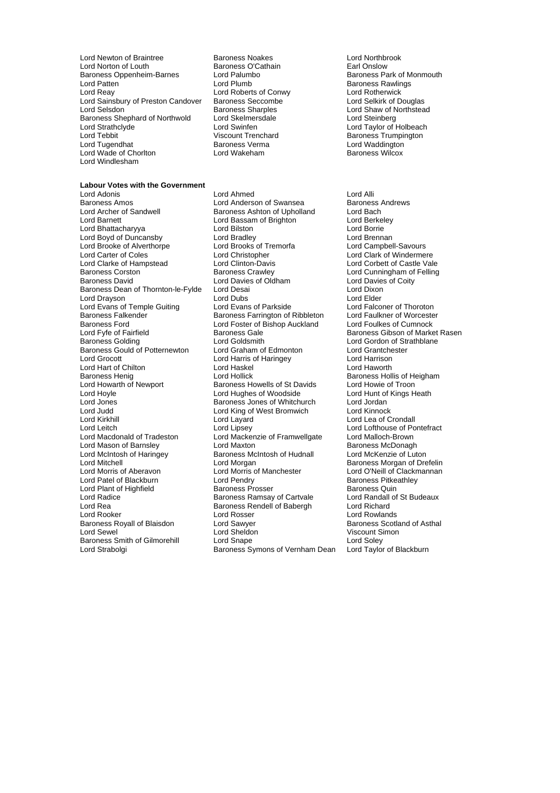Lord Newton of Braintree **Baroness Noakes** Baroness Noakes Lord Northbrook<br>
Lord Norton of Louth **Baroness O'Cathain** Earl Onslow Lord Norton of Louth **Baroness O'Cathain**<br>
Baroness Oppenheim-Barnes Lord Palumbo<br>
Baroness Park of Monmouth Baroness Oppenheim-Barnes Lord Paluminum Baroness Park of Palumbo Baroness Park of Palumbo Baroness Park of Par<br>Lord Plumbo Baroness Park of Months Plumbo Baroness Park of Plumbo Baroness Plumbo Baroness Park of Park of Pa Lord Patten **Communist Communist Communist Communist Communist Communist Communist Communist Communist Communist Communist Communist Communist Communist Communist Communist Communist Communist Communist Communist Communist** Lord Reay Lord Roberts of Conwy Lord Rotherwick Lord Sainsbury of Preston Candover Baroness Seccomb<br>Lord Selsdon Baroness Sharples Baroness Shephard of Northwold Lord Strathclyde Lord Swinfen Lord Taylor of Holbeach Lord Tugendhat **Baroness Verma** Lord Waddington<br>Lord Wade of Choriton **Baroness Lord Wakeham** Baroness Wilcox Lord Wade of Chorlton Lord Windlesham

**Labour Votes with the Government**

Viscount Trenchard<br>
Baroness Verma<br>
Lord Waddington

#### Baroness Amos<br>
Lord Archer of Sandwell **Baroness Ashton of Upholland** Lord Bach<br>
Lord Archer of Sandwell **Baroness Ashton of Upholland** Lord Bach Lord Archer of Sandwell **Baroness Ashton of Upholland** Lord Bach<br>
Lord Barnett Lord Bach Lord Bassam of Brighton Lord Berkelev Lord Bhattacharyya Lord Bilston Lord Borrie Lord Boyd of Duncansby Lord Bradley Lord Brennan Lord Brooke of Alverthorpe<br>
Lord Brooks of Tremorfa<br>
Lord Carter of Coles

Lord Christopher Lord Carter of Coles<br>
Lord Clark of Hampstead<br>
Lord Clarke of Hampstead<br>
Lord Corbett of Castle Vale Lord Clarke of Hampstead Lord Clinton-Davis Lord Corbett of Castle Vale<br>
Baroness Corston Baroness Crawley Lord Cunningham of Felling Baroness Corston Baroness Crawley Lord Cunningham of Felling Baroness Dean of Thornton-le-Fylde Lord Drayson **Lord Dubs** Lord Dubs<br>
Lord Evans of Temple Guiting Lord Evans of Parkside Lord Evans Lord Falconer of Thoroton Lord Evans of Temple Guiting Lord Evans of Parkside Lord Evans Lord Falconer of Thoroton<br>
Baroness Falkender Baroness Farrington of Ribbleton Lord Faulkner of Worcester Baroness Ford **Lord Foster of Bishop Auckland**<br>
Lord Fyfe of Fairfield **Cumnock Baroness** Gale Lord Fyfe of Fairfield Face of Baroness Gale Baroness Gibson of Market Rasen<br>Baroness Golding Baroness Coldsmith Baroness Gale Baroness Gibson of Strathblane Baroness Gould of Potternewton Lord Grocott Lord Harris of Haringey Lord Harrison Lord Hart of Chilton Lord Haskel<br>
Baroness Henig Lord Hollick Baroness Henig **Communist Condit Lord Hollick** Baroness Hollis of Heigham<br>
Lord Howarth of Newport Baroness Howells of St Davids Lord Howie of Troon Lord Hoyle **Lord Hughes of Woodside** Cord Hunt of Kings Heath<br>
Lord Jones **Corress Corress** Jones of Whitchurch Lord Jordan Lord Jones Baroness Jones of Whitchurch Lord Jordan Lord Judd Lord King of West Bromwich Lord Kinnock Lord Kirkhill Lord Layard Lord Lea of Crondall Lord Lipsey Lord Lipsey Lord Lord Lofthouse of Pontefract<br>
Lord Macdonald of Tradeston Lord Mackenzie of Framwellgate Lord Malloch-Brown Lord Mason of Barnsley Lord McIntosh of Haringey **Baroness McIntosh of Hudnall** Lord McKenzie of Luton<br>Lord Mitchell Lord Morgan Lord Morgan **Baroness Morgan** of Dre Lord Mitchell **Lord Morgan** Lord Morgan **Baroness Morgan of Drefelin**<br>
Lord Morris of Aberavon Lord Morris of Manchester **Baroness Morgan of Clackmannan** Lord Patel of Blackburn **Lord Pendry** Communist Caroness Pitke<br>
Lord Plant of Highfield **Baroness Prosser** Baroness Quin Lord Plant of Highfield **Baroness Prosser** Baroness Baroness Quin<br>
Baroness Ramsay of Cartvale 
Baroness Ramsay of Cartvale 
Baroness Ramsay of Cartvale 
Lord Randall of St Budeaux Lord Radice **Baroness Ramsay of Cartvale** Lord Randall Lord Randall **Lord Randall Budeaux**<br>Baroness Rendell of Baberghaux Lord Richard Lord Rea Baroness Rendell of Babergh Lord Rea Lord Rooker **Lord Rooker Lord Rosser** Lord Rosser Lord Rowlands<br>
Baroness Royall of Blaisdon Lord Sawyer **Lord Rosser Lord Rowlands** Baroness Scotland of Asthal Baroness Royall of Blaisdon **Lord Sawyer**<br> **Lord Sewel** Cord Sheldon Baroness Smith of Gilmorehill Lord Snape Lord Soley<br>Lord Strabolgi Cord Saroness Symons of Vernham Dean Lord Taylor of Blackburn

Lord Adonis Lord Ahmed Lord Alli Lord Bassam of Brighton Lord Davies of Oldham Lord Davies of Oldham Lord Davies of Coity Lord Divon Baroness Farrington of Ribbleton Lord Faulkner of Worcester<br>Lord Foster of Rishon Auckland Lord Foulkes of Cumnock Lord Goldsmith<br>
Lord Graham of Edmonton<br>
Lord Grantchester Baroness Howells of St Davids Lord Mackenzie of Framwellgate Lord Malloch-Brown<br>Lord Maxton Cord Maxton Baroness McDonagh Lord Morris of Manchester Lord O'Neill of Clackmannan<br>
Lord Pendry Baroness Pitkeathley Baroness Symons of Vernham Dean

Baroness Sharples<br>
Lord Skelmersdale<br>
Lord Steinberg<br>
Lord Steinberg

Viscount Simon